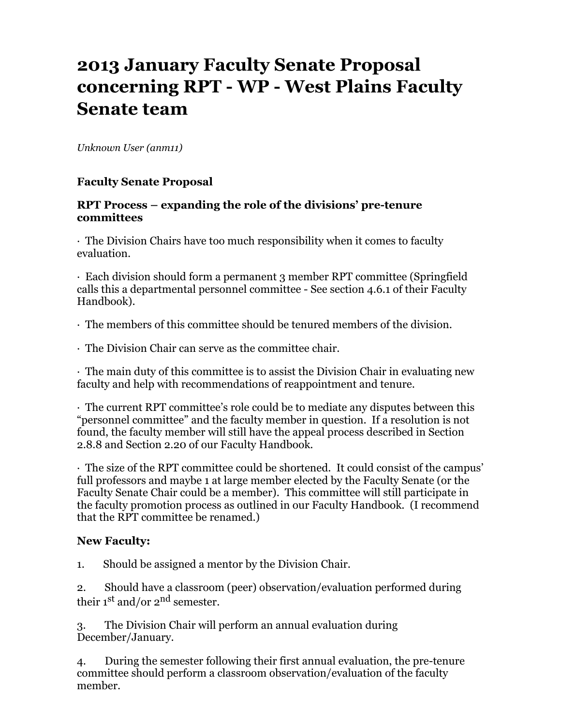# **2013 January Faculty Senate Proposal concerning RPT - WP - West Plains Faculty Senate team**

*Unknown User (anm11)*

### **Faculty Senate Proposal**

#### **RPT Process – expanding the role of the divisions' pre-tenure committees**

· The Division Chairs have too much responsibility when it comes to faculty evaluation.

· Each division should form a permanent 3 member RPT committee (Springfield calls this a departmental personnel committee - See section 4.6.1 of their Faculty Handbook).

· The members of this committee should be tenured members of the division.

· The Division Chair can serve as the committee chair.

· The main duty of this committee is to assist the Division Chair in evaluating new faculty and help with recommendations of reappointment and tenure.

· The current RPT committee's role could be to mediate any disputes between this "personnel committee" and the faculty member in question. If a resolution is not found, the faculty member will still have the appeal process described in Section 2.8.8 and Section 2.20 of our Faculty Handbook.

· The size of the RPT committee could be shortened. It could consist of the campus' full professors and maybe 1 at large member elected by the Faculty Senate (or the Faculty Senate Chair could be a member). This committee will still participate in the faculty promotion process as outlined in our Faculty Handbook. (I recommend that the RPT committee be renamed.)

#### **New Faculty:**

1. Should be assigned a mentor by the Division Chair.

2. Should have a classroom (peer) observation/evaluation performed during their  $1<sup>st</sup>$  and/or  $2<sup>nd</sup>$  semester.

3. The Division Chair will perform an annual evaluation during December/January.

4. During the semester following their first annual evaluation, the pre-tenure committee should perform a classroom observation/evaluation of the faculty member.